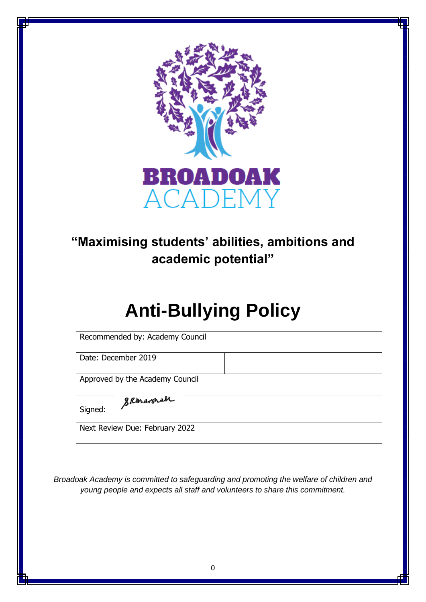

# **"Maximising students' abilities, ambitions and academic potential"**

# **Anti-Bullying Policy**

Date: December 2019

Approved by the Academy Council

Skaravnah

Signed:

Next Review Due: February 2022

*Broadoak Academy is committed to safeguarding and promoting the welfare of children and young people and expects all staff and volunteers to share this commitment.*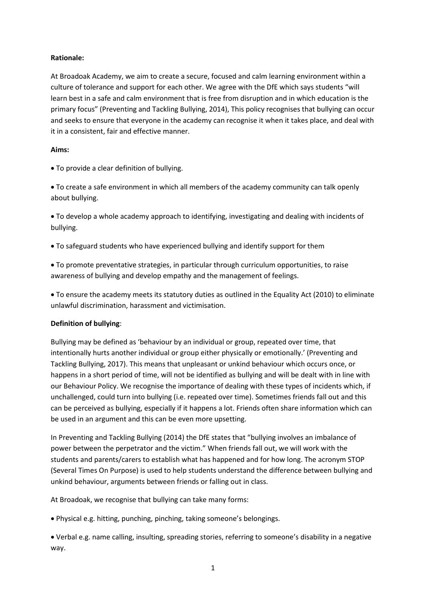# **Rationale:**

At Broadoak Academy, we aim to create a secure, focused and calm learning environment within a culture of tolerance and support for each other. We agree with the DfE which says students "will learn best in a safe and calm environment that is free from disruption and in which education is the primary focus" (Preventing and Tackling Bullying, 2014), This policy recognises that bullying can occur and seeks to ensure that everyone in the academy can recognise it when it takes place, and deal with it in a consistent, fair and effective manner.

# **Aims:**

• To provide a clear definition of bullying.

• To create a safe environment in which all members of the academy community can talk openly about bullying.

• To develop a whole academy approach to identifying, investigating and dealing with incidents of bullying.

• To safeguard students who have experienced bullying and identify support for them

• To promote preventative strategies, in particular through curriculum opportunities, to raise awareness of bullying and develop empathy and the management of feelings.

• To ensure the academy meets its statutory duties as outlined in the Equality Act (2010) to eliminate unlawful discrimination, harassment and victimisation.

# **Definition of bullying**:

Bullying may be defined as 'behaviour by an individual or group, repeated over time, that intentionally hurts another individual or group either physically or emotionally.' (Preventing and Tackling Bullying, 2017). This means that unpleasant or unkind behaviour which occurs once, or happens in a short period of time, will not be identified as bullying and will be dealt with in line with our Behaviour Policy. We recognise the importance of dealing with these types of incidents which, if unchallenged, could turn into bullying (i.e. repeated over time). Sometimes friends fall out and this can be perceived as bullying, especially if it happens a lot. Friends often share information which can be used in an argument and this can be even more upsetting.

In Preventing and Tackling Bullying (2014) the DfE states that "bullying involves an imbalance of power between the perpetrator and the victim." When friends fall out, we will work with the students and parents/carers to establish what has happened and for how long. The acronym STOP (Several Times On Purpose) is used to help students understand the difference between bullying and unkind behaviour, arguments between friends or falling out in class.

At Broadoak, we recognise that bullying can take many forms:

• Physical e.g. hitting, punching, pinching, taking someone's belongings.

• Verbal e.g. name calling, insulting, spreading stories, referring to someone's disability in a negative way.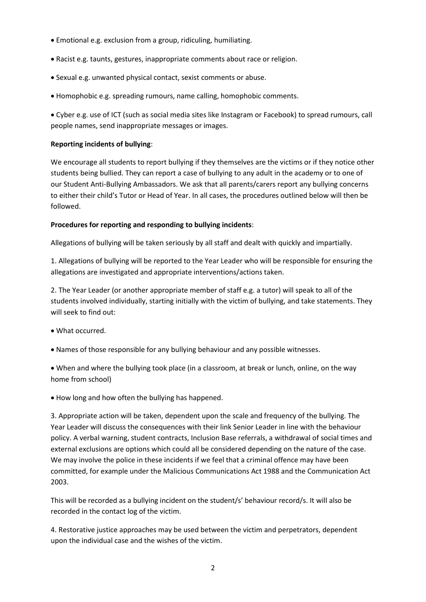- Emotional e.g. exclusion from a group, ridiculing, humiliating.
- Racist e.g. taunts, gestures, inappropriate comments about race or religion.
- Sexual e.g. unwanted physical contact, sexist comments or abuse.
- Homophobic e.g. spreading rumours, name calling, homophobic comments.

• Cyber e.g. use of ICT (such as social media sites like Instagram or Facebook) to spread rumours, call people names, send inappropriate messages or images.

# **Reporting incidents of bullying**:

We encourage all students to report bullying if they themselves are the victims or if they notice other students being bullied. They can report a case of bullying to any adult in the academy or to one of our Student Anti-Bullying Ambassadors. We ask that all parents/carers report any bullying concerns to either their child's Tutor or Head of Year. In all cases, the procedures outlined below will then be followed.

# **Procedures for reporting and responding to bullying incidents**:

Allegations of bullying will be taken seriously by all staff and dealt with quickly and impartially.

1. Allegations of bullying will be reported to the Year Leader who will be responsible for ensuring the allegations are investigated and appropriate interventions/actions taken.

2. The Year Leader (or another appropriate member of staff e.g. a tutor) will speak to all of the students involved individually, starting initially with the victim of bullying, and take statements. They will seek to find out:

- What occurred.
- Names of those responsible for any bullying behaviour and any possible witnesses.

• When and where the bullying took place (in a classroom, at break or lunch, online, on the way home from school)

• How long and how often the bullying has happened.

3. Appropriate action will be taken, dependent upon the scale and frequency of the bullying. The Year Leader will discuss the consequences with their link Senior Leader in line with the behaviour policy. A verbal warning, student contracts, Inclusion Base referrals, a withdrawal of social times and external exclusions are options which could all be considered depending on the nature of the case. We may involve the police in these incidents if we feel that a criminal offence may have been committed, for example under the Malicious Communications Act 1988 and the Communication Act 2003.

This will be recorded as a bullying incident on the student/s' behaviour record/s. It will also be recorded in the contact log of the victim.

4. Restorative justice approaches may be used between the victim and perpetrators, dependent upon the individual case and the wishes of the victim.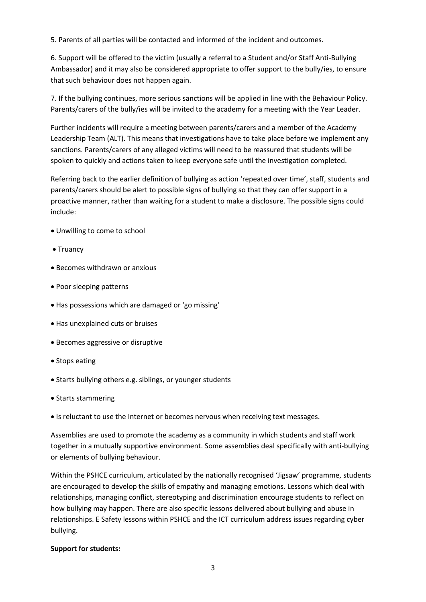5. Parents of all parties will be contacted and informed of the incident and outcomes.

6. Support will be offered to the victim (usually a referral to a Student and/or Staff Anti-Bullying Ambassador) and it may also be considered appropriate to offer support to the bully/ies, to ensure that such behaviour does not happen again.

7. If the bullying continues, more serious sanctions will be applied in line with the Behaviour Policy. Parents/carers of the bully/ies will be invited to the academy for a meeting with the Year Leader.

Further incidents will require a meeting between parents/carers and a member of the Academy Leadership Team (ALT). This means that investigations have to take place before we implement any sanctions. Parents/carers of any alleged victims will need to be reassured that students will be spoken to quickly and actions taken to keep everyone safe until the investigation completed.

Referring back to the earlier definition of bullying as action 'repeated over time', staff, students and parents/carers should be alert to possible signs of bullying so that they can offer support in a proactive manner, rather than waiting for a student to make a disclosure. The possible signs could include:

- Unwilling to come to school
- Truancy
- Becomes withdrawn or anxious
- Poor sleeping patterns
- Has possessions which are damaged or 'go missing'
- Has unexplained cuts or bruises
- Becomes aggressive or disruptive
- Stops eating
- Starts bullying others e.g. siblings, or younger students
- Starts stammering
- Is reluctant to use the Internet or becomes nervous when receiving text messages.

Assemblies are used to promote the academy as a community in which students and staff work together in a mutually supportive environment. Some assemblies deal specifically with anti-bullying or elements of bullying behaviour.

Within the PSHCE curriculum, articulated by the nationally recognised 'Jigsaw' programme, students are encouraged to develop the skills of empathy and managing emotions. Lessons which deal with relationships, managing conflict, stereotyping and discrimination encourage students to reflect on how bullying may happen. There are also specific lessons delivered about bullying and abuse in relationships. E Safety lessons within PSHCE and the ICT curriculum address issues regarding cyber bullying.

#### **Support for students:**